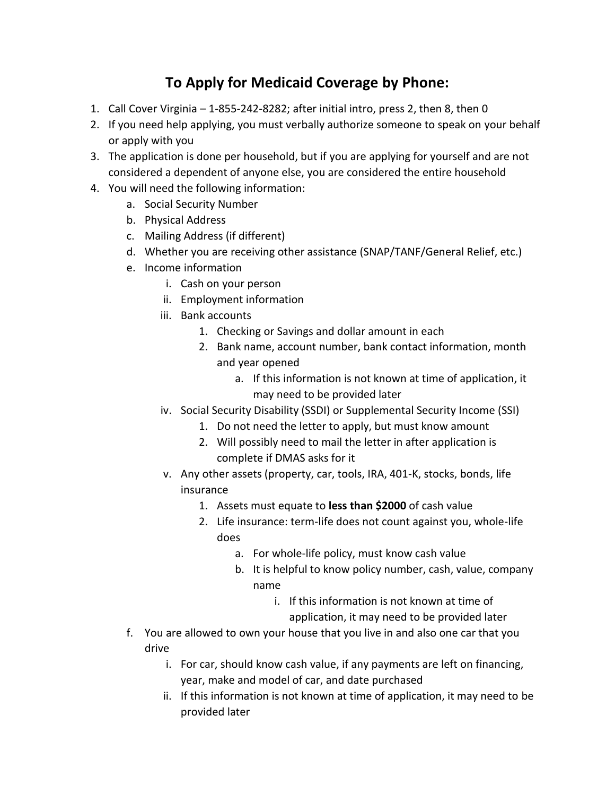## **To Apply for Medicaid Coverage by Phone:**

- 1. Call Cover Virginia 1-855-242-8282; after initial intro, press 2, then 8, then 0
- 2. If you need help applying, you must verbally authorize someone to speak on your behalf or apply with you
- 3. The application is done per household, but if you are applying for yourself and are not considered a dependent of anyone else, you are considered the entire household
- 4. You will need the following information:
	- a. Social Security Number
	- b. Physical Address
	- c. Mailing Address (if different)
	- d. Whether you are receiving other assistance (SNAP/TANF/General Relief, etc.)
	- e. Income information
		- i. Cash on your person
		- ii. Employment information
		- iii. Bank accounts
			- 1. Checking or Savings and dollar amount in each
			- 2. Bank name, account number, bank contact information, month and year opened
				- a. If this information is not known at time of application, it may need to be provided later
		- iv. Social Security Disability (SSDI) or Supplemental Security Income (SSI)
			- 1. Do not need the letter to apply, but must know amount
			- 2. Will possibly need to mail the letter in after application is complete if DMAS asks for it
		- v. Any other assets (property, car, tools, IRA, 401-K, stocks, bonds, life insurance
			- 1. Assets must equate to **less than \$2000** of cash value
			- 2. Life insurance: term-life does not count against you, whole-life does
				- a. For whole-life policy, must know cash value
				- b. It is helpful to know policy number, cash, value, company name
					- i. If this information is not known at time of application, it may need to be provided later
	- f. You are allowed to own your house that you live in and also one car that you drive
		- i. For car, should know cash value, if any payments are left on financing, year, make and model of car, and date purchased
		- ii. If this information is not known at time of application, it may need to be provided later